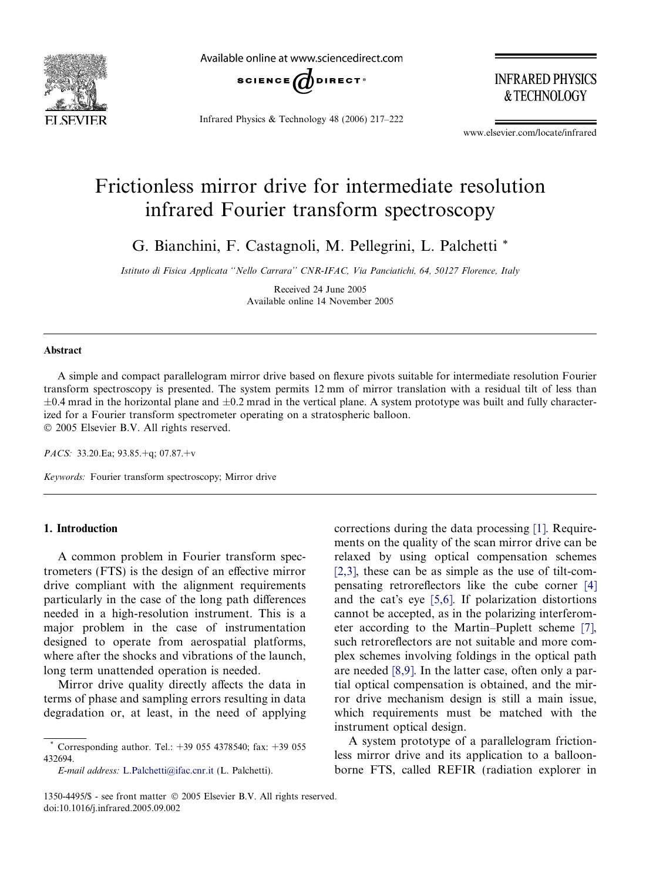

Available online at www.sciencedirect.com



Infrared Physics & Technology 48 (2006) 217–222

**INFRARED PHYSICS** & TECHNOLOGY

www.elsevier.com/locate/infrared

# Frictionless mirror drive for intermediate resolution infrared Fourier transform spectroscopy

G. Bianchini, F. Castagnoli, M. Pellegrini, L. Palchetti \*

Istituto di Fisica Applicata ''Nello Carrara'' CNR-IFAC, Via Panciatichi, 64, 50127 Florence, Italy

Received 24 June 2005 Available online 14 November 2005

# Abstract

A simple and compact parallelogram mirror drive based on flexure pivots suitable for intermediate resolution Fourier transform spectroscopy is presented. The system permits 12 mm of mirror translation with a residual tilt of less than  $\pm 0.4$  mrad in the horizontal plane and  $\pm 0.2$  mrad in the vertical plane. A system prototype was built and fully characterized for a Fourier transform spectrometer operating on a stratospheric balloon. © 2005 Elsevier B.V. All rights reserved.

PACS: 33.20.Ea; 93.85.+q; 07.87.+v

Keywords: Fourier transform spectroscopy; Mirror drive

## 1. Introduction

A common problem in Fourier transform spectrometers (FTS) is the design of an effective mirror drive compliant with the alignment requirements particularly in the case of the long path differences needed in a high-resolution instrument. This is a major problem in the case of instrumentation designed to operate from aerospatial platforms, where after the shocks and vibrations of the launch, long term unattended operation is needed.

Mirror drive quality directly affects the data in terms of phase and sampling errors resulting in data degradation or, at least, in the need of applying

E-mail address: [L.Palchetti@ifac.cnr.it](mailto:L.Palchetti@ifac.cnr.it) (L. Palchetti).

corrections during the data processing [\[1\].](#page-5-0) Requirements on the quality of the scan mirror drive can be relaxed by using optical compensation schemes [\[2,3\]](#page-5-0), these can be as simple as the use of tilt-compensating retroreflectors like the cube corner [\[4\]](#page-5-0) and the cat's eye [\[5,6\]](#page-5-0). If polarization distortions cannot be accepted, as in the polarizing interferometer according to the Martin–Puplett scheme [\[7\]](#page-5-0), such retroreflectors are not suitable and more complex schemes involving foldings in the optical path are needed [\[8,9\].](#page-5-0) In the latter case, often only a partial optical compensation is obtained, and the mirror drive mechanism design is still a main issue, which requirements must be matched with the instrument optical design.

A system prototype of a parallelogram frictionless mirror drive and its application to a balloonborne FTS, called REFIR (radiation explorer in

Corresponding author. Tel.: +39 055 4378540; fax: +39 055 432694.

<sup>1350-4495/\$ -</sup> see front matter © 2005 Elsevier B.V. All rights reserved. doi:10.1016/j.infrared.2005.09.002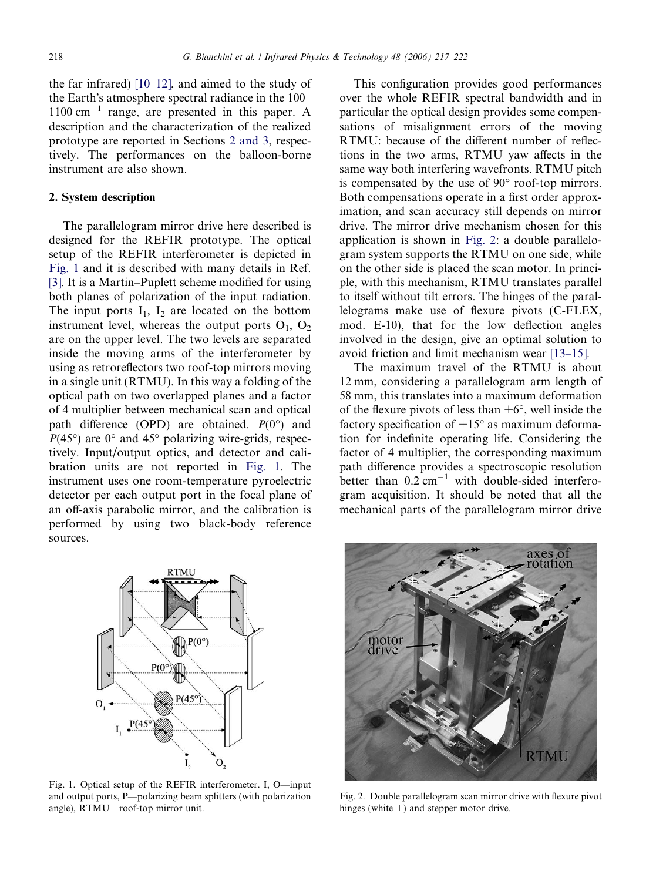<span id="page-1-0"></span>the far infrared) [\[10–12\]](#page-5-0), and aimed to the study of the Earth's atmosphere spectral radiance in the 100– 1100 cm-<sup>1</sup> range, are presented in this paper. A description and the characterization of the realized prototype are reported in Sections 2 and 3, respectively. The performances on the balloon-borne instrument are also shown.

## 2. System description

The parallelogram mirror drive here described is designed for the REFIR prototype. The optical setup of the REFIR interferometer is depicted in Fig. 1 and it is described with many details in Ref. [\[3\].](#page-5-0) It is a Martin–Puplett scheme modified for using both planes of polarization of the input radiation. The input ports  $I_1$ ,  $I_2$  are located on the bottom instrument level, whereas the output ports  $O_1$ ,  $O_2$ are on the upper level. The two levels are separated inside the moving arms of the interferometer by using as retroreflectors two roof-top mirrors moving in a single unit (RTMU). In this way a folding of the optical path on two overlapped planes and a factor of 4 multiplier between mechanical scan and optical path difference (OPD) are obtained.  $P(0^{\circ})$  and  $P(45^{\circ})$  are 0° and 45° polarizing wire-grids, respectively. Input/output optics, and detector and calibration units are not reported in Fig. 1. The instrument uses one room-temperature pyroelectric detector per each output port in the focal plane of an off-axis parabolic mirror, and the calibration is performed by using two black-body reference sources.

This configuration provides good performances over the whole REFIR spectral bandwidth and in particular the optical design provides some compensations of misalignment errors of the moving RTMU: because of the different number of reflections in the two arms, RTMU yaw affects in the same way both interfering wavefronts. RTMU pitch is compensated by the use of  $90^\circ$  roof-top mirrors. Both compensations operate in a first order approximation, and scan accuracy still depends on mirror drive. The mirror drive mechanism chosen for this application is shown in Fig. 2: a double parallelogram system supports the RTMU on one side, while on the other side is placed the scan motor. In principle, with this mechanism, RTMU translates parallel to itself without tilt errors. The hinges of the parallelograms make use of flexure pivots (C-FLEX, mod. E-10), that for the low deflection angles involved in the design, give an optimal solution to avoid friction and limit mechanism wear [\[13–15\].](#page-5-0)

The maximum travel of the RTMU is about 12 mm, considering a parallelogram arm length of 58 mm, this translates into a maximum deformation of the flexure pivots of less than  $\pm 6^{\circ}$ , well inside the factory specification of  $\pm 15^{\circ}$  as maximum deformation for indefinite operating life. Considering the factor of 4 multiplier, the corresponding maximum path difference provides a spectroscopic resolution better than  $0.2 \text{ cm}^{-1}$  with double-sided interferogram acquisition. It should be noted that all the mechanical parts of the parallelogram mirror drive



Fig. 1. Optical setup of the REFIR interferometer. I, O—input and output ports, P—polarizing beam splitters (with polarization angle), RTMU—roof-top mirror unit.



Fig. 2. Double parallelogram scan mirror drive with flexure pivot hinges (white +) and stepper motor drive.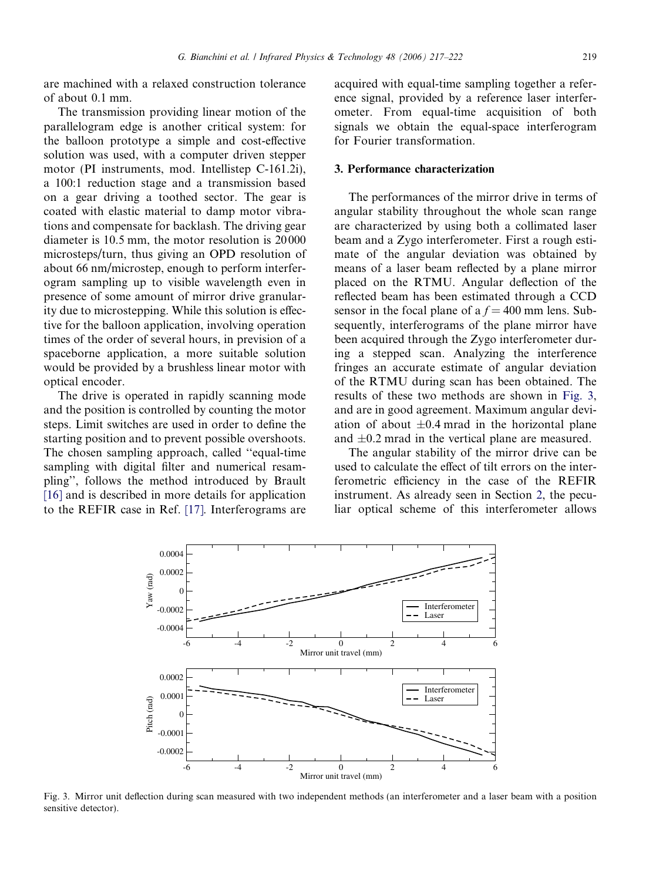are machined with a relaxed construction tolerance of about 0.1 mm.

The transmission providing linear motion of the parallelogram edge is another critical system: for the balloon prototype a simple and cost-effective solution was used, with a computer driven stepper motor (PI instruments, mod. Intellistep C-161.2i), a 100:1 reduction stage and a transmission based on a gear driving a toothed sector. The gear is coated with elastic material to damp motor vibrations and compensate for backlash. The driving gear diameter is 10.5 mm, the motor resolution is 20 000 microsteps/turn, thus giving an OPD resolution of about 66 nm/microstep, enough to perform interferogram sampling up to visible wavelength even in presence of some amount of mirror drive granularity due to microstepping. While this solution is effective for the balloon application, involving operation times of the order of several hours, in prevision of a spaceborne application, a more suitable solution would be provided by a brushless linear motor with optical encoder.

The drive is operated in rapidly scanning mode and the position is controlled by counting the motor steps. Limit switches are used in order to define the starting position and to prevent possible overshoots. The chosen sampling approach, called ''equal-time sampling with digital filter and numerical resampling'', follows the method introduced by Brault [\[16\]](#page-5-0) and is described in more details for application to the REFIR case in Ref. [\[17\]](#page-5-0). Interferograms are

acquired with equal-time sampling together a reference signal, provided by a reference laser interferometer. From equal-time acquisition of both signals we obtain the equal-space interferogram for Fourier transformation.

## 3. Performance characterization

The performances of the mirror drive in terms of angular stability throughout the whole scan range are characterized by using both a collimated laser beam and a Zygo interferometer. First a rough estimate of the angular deviation was obtained by means of a laser beam reflected by a plane mirror placed on the RTMU. Angular deflection of the reflected beam has been estimated through a CCD sensor in the focal plane of a  $f = 400$  mm lens. Subsequently, interferograms of the plane mirror have been acquired through the Zygo interferometer during a stepped scan. Analyzing the interference fringes an accurate estimate of angular deviation of the RTMU during scan has been obtained. The results of these two methods are shown in Fig. 3, and are in good agreement. Maximum angular deviation of about  $\pm 0.4$  mrad in the horizontal plane and  $\pm 0.2$  mrad in the vertical plane are measured.

The angular stability of the mirror drive can be used to calculate the effect of tilt errors on the interferometric efficiency in the case of the REFIR instrument. As already seen in Section [2](#page-1-0), the peculiar optical scheme of this interferometer allows



Fig. 3. Mirror unit deflection during scan measured with two independent methods (an interferometer and a laser beam with a position sensitive detector).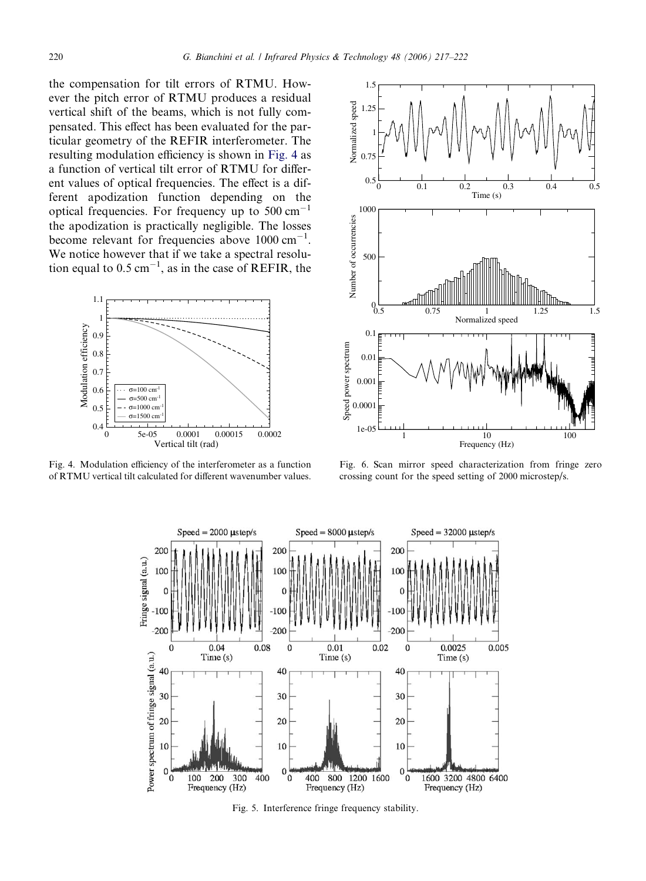<span id="page-3-0"></span>the compensation for tilt errors of RTMU. However the pitch error of RTMU produces a residual vertical shift of the beams, which is not fully compensated. This effect has been evaluated for the particular geometry of the REFIR interferometer. The resulting modulation efficiency is shown in Fig. 4 as a function of vertical tilt error of RTMU for different values of optical frequencies. The effect is a different apodization function depending on the optical frequencies. For frequency up to  $500 \text{ cm}^{-1}$ the apodization is practically negligible. The losses become relevant for frequencies above 1000 cm<sup>-1</sup>. We notice however that if we take a spectral resolution equal to  $0.5 \text{ cm}^{-1}$ , as in the case of REFIR, the



Fig. 4. Modulation efficiency of the interferometer as a function of RTMU vertical tilt calculated for different wavenumber values.



Fig. 6. Scan mirror speed characterization from fringe zero crossing count for the speed setting of 2000 microstep/s.



Fig. 5. Interference fringe frequency stability.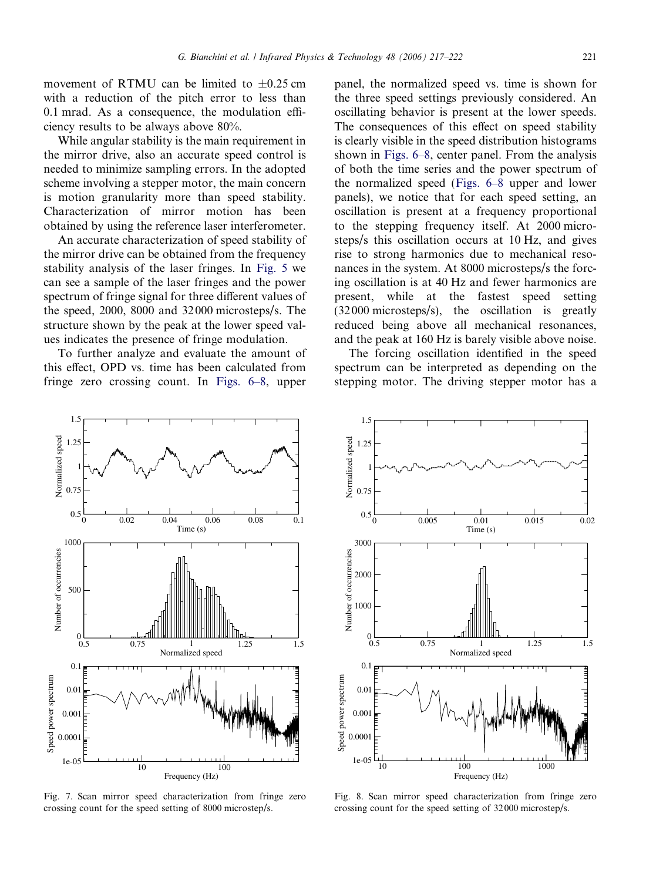movement of RTMU can be limited to  $\pm 0.25$  cm with a reduction of the pitch error to less than 0.1 mrad. As a consequence, the modulation efficiency results to be always above 80%.

While angular stability is the main requirement in the mirror drive, also an accurate speed control is needed to minimize sampling errors. In the adopted scheme involving a stepper motor, the main concern is motion granularity more than speed stability. Characterization of mirror motion has been obtained by using the reference laser interferometer.

An accurate characterization of speed stability of the mirror drive can be obtained from the frequency stability analysis of the laser fringes. In [Fig. 5](#page-3-0) we can see a sample of the laser fringes and the power spectrum of fringe signal for three different values of the speed, 2000, 8000 and 32 000 microsteps/s. The structure shown by the peak at the lower speed values indicates the presence of fringe modulation.

To further analyze and evaluate the amount of this effect, OPD vs. time has been calculated from fringe zero crossing count. In [Figs. 6–8](#page-3-0), upper

panel, the normalized speed vs. time is shown for the three speed settings previously considered. An oscillating behavior is present at the lower speeds. The consequences of this effect on speed stability is clearly visible in the speed distribution histograms shown in [Figs. 6–8,](#page-3-0) center panel. From the analysis of both the time series and the power spectrum of the normalized speed ([Figs. 6–8](#page-3-0) upper and lower panels), we notice that for each speed setting, an oscillation is present at a frequency proportional to the stepping frequency itself. At 2000 microsteps/s this oscillation occurs at 10 Hz, and gives rise to strong harmonics due to mechanical resonances in the system. At 8000 microsteps/s the forcing oscillation is at 40 Hz and fewer harmonics are present, while at the fastest speed setting (32 000 microsteps/s), the oscillation is greatly reduced being above all mechanical resonances, and the peak at 160 Hz is barely visible above noise.

The forcing oscillation identified in the speed spectrum can be interpreted as depending on the stepping motor. The driving stepper motor has a



Fig. 7. Scan mirror speed characterization from fringe zero crossing count for the speed setting of 8000 microstep/s.



Fig. 8. Scan mirror speed characterization from fringe zero crossing count for the speed setting of 32 000 microstep/s.